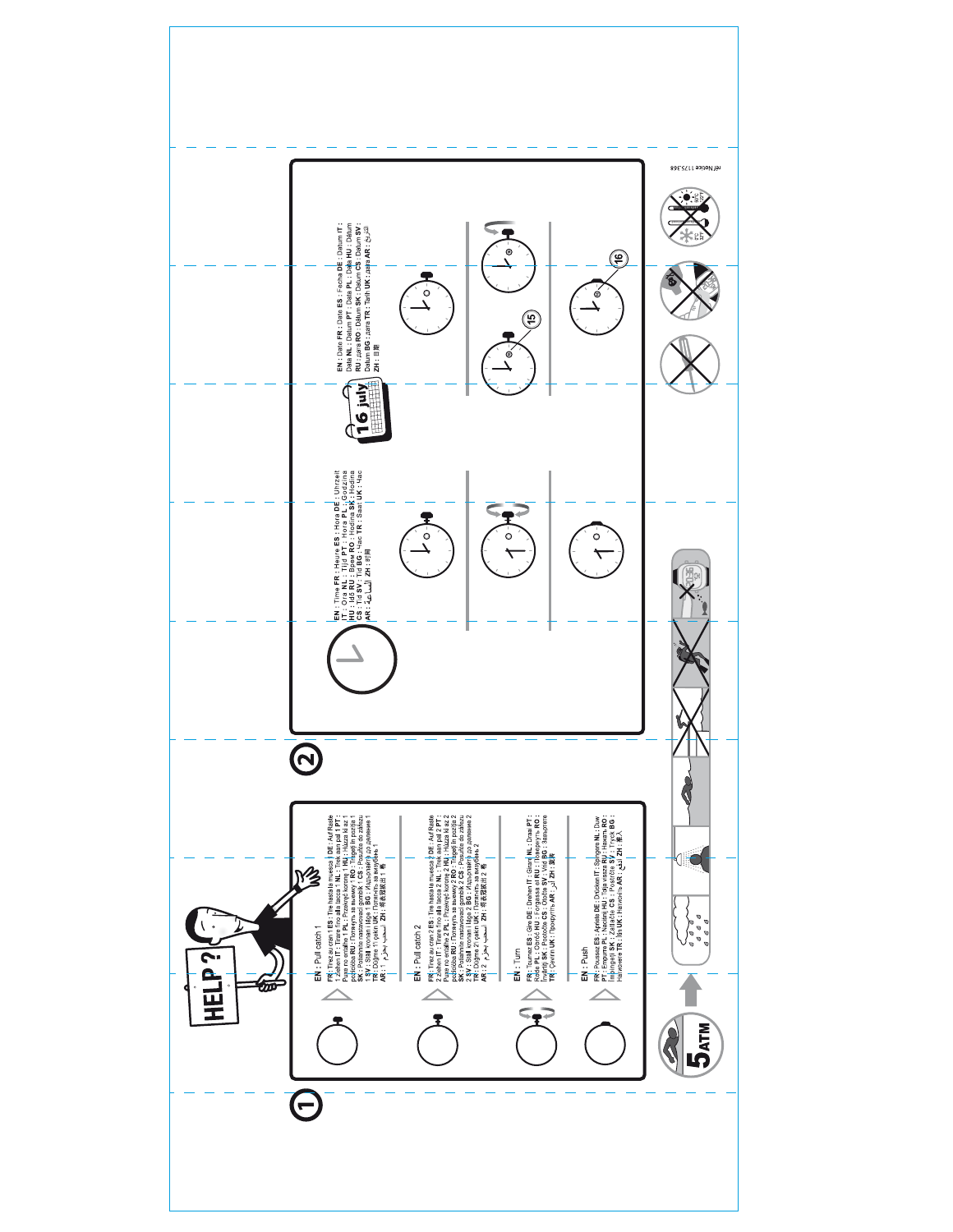